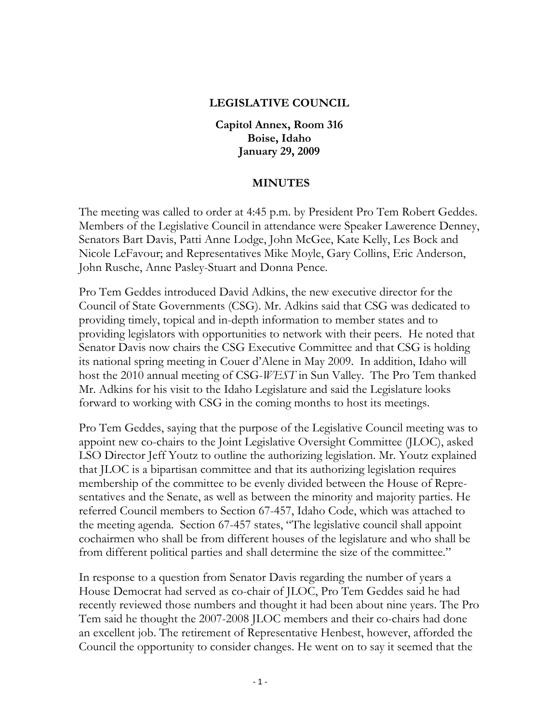## **LEGISLATIVE COUNCIL**

**Capitol Annex, Room 316 Boise, Idaho January 29, 2009** 

## **MINUTES**

The meeting was called to order at 4:45 p.m. by President Pro Tem Robert Geddes. Members of the Legislative Council in attendance were Speaker Lawerence Denney, Senators Bart Davis, Patti Anne Lodge, John McGee, Kate Kelly, Les Bock and Nicole LeFavour; and Representatives Mike Moyle, Gary Collins, Eric Anderson, John Rusche, Anne Pasley-Stuart and Donna Pence.

Pro Tem Geddes introduced David Adkins, the new executive director for the Council of State Governments (CSG). Mr. Adkins said that CSG was dedicated to providing timely, topical and in-depth information to member states and to providing legislators with opportunities to network with their peers. He noted that Senator Davis now chairs the CSG Executive Committee and that CSG is holding its national spring meeting in Couer d'Alene in May 2009. In addition, Idaho will host the 2010 annual meeting of CSG-*WEST* in Sun Valley. The Pro Tem thanked Mr. Adkins for his visit to the Idaho Legislature and said the Legislature looks forward to working with CSG in the coming months to host its meetings.

Pro Tem Geddes, saying that the purpose of the Legislative Council meeting was to appoint new co-chairs to the Joint Legislative Oversight Committee (JLOC), asked LSO Director Jeff Youtz to outline the authorizing legislation. Mr. Youtz explained that JLOC is a bipartisan committee and that its authorizing legislation requires membership of the committee to be evenly divided between the House of Representatives and the Senate, as well as between the minority and majority parties. He referred Council members to Section 67-457, Idaho Code, which was attached to the meeting agenda. Section 67-457 states, "The legislative council shall appoint cochairmen who shall be from different houses of the legislature and who shall be from different political parties and shall determine the size of the committee."

In response to a question from Senator Davis regarding the number of years a House Democrat had served as co-chair of JLOC, Pro Tem Geddes said he had recently reviewed those numbers and thought it had been about nine years. The Pro Tem said he thought the 2007-2008 JLOC members and their co-chairs had done an excellent job. The retirement of Representative Henbest, however, afforded the Council the opportunity to consider changes. He went on to say it seemed that the